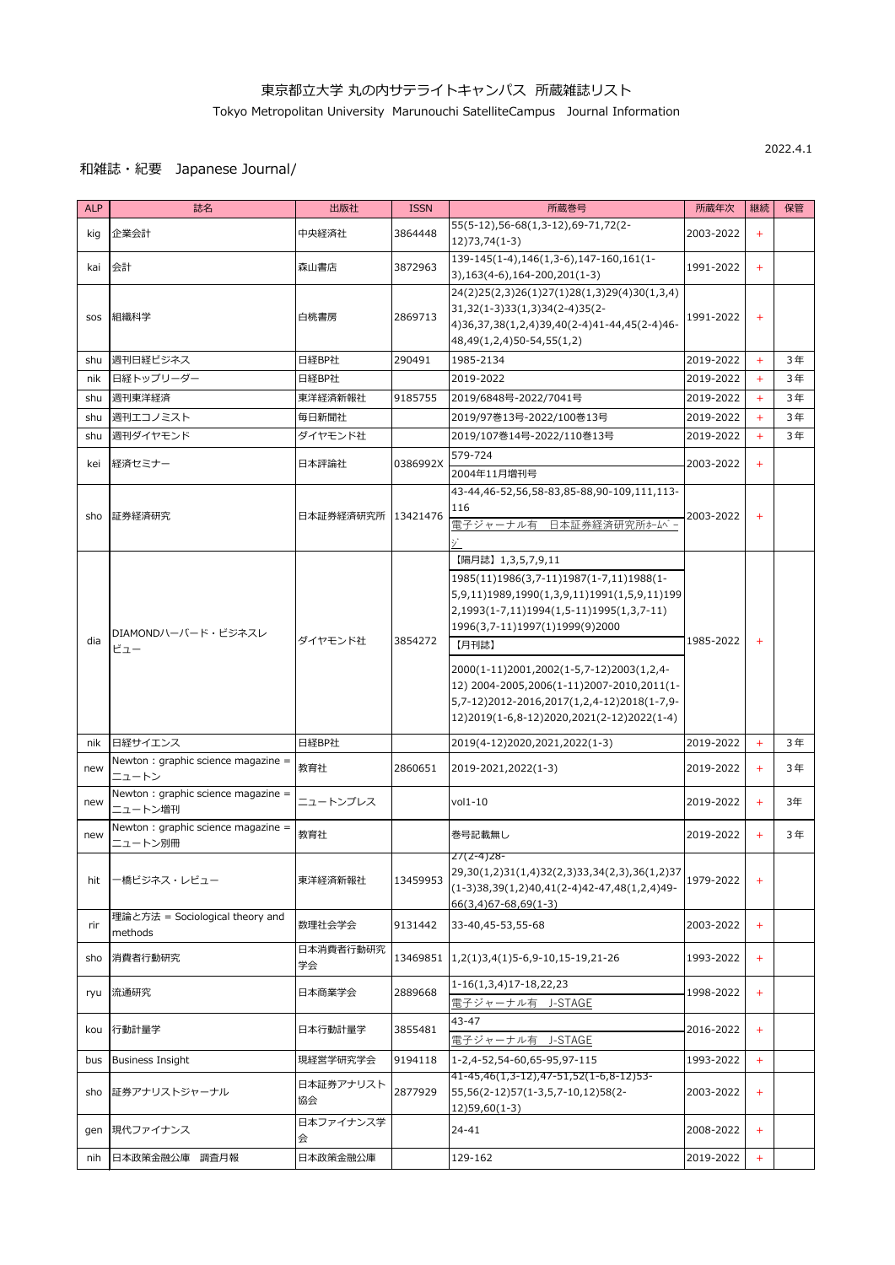2022.4.1

| <b>ALP</b> | 誌名                                             | 出版社                 | <b>ISSN</b> | 所蔵巻号                                                                                                                                                                                                                                                                                                                                                                                   | 所蔵年次      | 継続    | 保管 |
|------------|------------------------------------------------|---------------------|-------------|----------------------------------------------------------------------------------------------------------------------------------------------------------------------------------------------------------------------------------------------------------------------------------------------------------------------------------------------------------------------------------------|-----------|-------|----|
| kig        | 企業会計                                           | 中央経済社               | 3864448     | 55(5-12), 56-68(1, 3-12), 69-71, 72(2-<br>$12)73,74(1-3)$                                                                                                                                                                                                                                                                                                                              | 2003-2022 | $+$   |    |
| kai        | 会計                                             | 森山書店                | 3872963     | 139-145(1-4), 146(1, 3-6), 147-160, 161(1-<br>$(3), 163(4-6), 164-200, 201(1-3)$                                                                                                                                                                                                                                                                                                       | 1991-2022 | $+$   |    |
| SOS        | 組織科学                                           | 白桃書房                | 2869713     | 24(2)25(2,3)26(1)27(1)28(1,3)29(4)30(1,3,4)<br>31,32(1-3)33(1,3)34(2-4)35(2-<br>4) 36, 37, 38(1, 2, 4) 39, 40( 2-4) 41-44, 45( 2-4) 46-<br>48,49(1,2,4)50-54,55(1,2)                                                                                                                                                                                                                   | 1991-2022 | $+$   |    |
| shu        | 週刊日経ビジネス                                       | 日経BP社               | 290491      | 1985-2134                                                                                                                                                                                                                                                                                                                                                                              | 2019-2022 | $+$   | 3年 |
| nik        | 日経トップリーダー                                      | 日経BP社               |             | 2019-2022                                                                                                                                                                                                                                                                                                                                                                              | 2019-2022 | $+$   | 3年 |
| shu        | 週刊東洋経済                                         | 東洋経済新報社             | 9185755     | 2019/6848号-2022/7041号                                                                                                                                                                                                                                                                                                                                                                  | 2019-2022 | $+$   | 3年 |
| shu        | 週刊エコノミスト                                       | 毎日新聞社               |             | 2019/97巻13号-2022/100巻13号                                                                                                                                                                                                                                                                                                                                                               | 2019-2022 | $+$   | 3年 |
| shu        | 週刊ダイヤモンド                                       | ダイヤモンド社             |             | 2019/107巻14号-2022/110巻13号                                                                                                                                                                                                                                                                                                                                                              | 2019-2022 | $+$   | 3年 |
| kei        | 経済セミナー                                         | 日本評論社               | 0386992X    | 579-724                                                                                                                                                                                                                                                                                                                                                                                |           | $+$   |    |
|            |                                                |                     |             | 2004年11月増刊号                                                                                                                                                                                                                                                                                                                                                                            | 2003-2022 |       |    |
| sho        | 証券経済研究                                         | 日本証券経済研究所  13421476 |             | 43-44,46-52,56,58-83,85-88,90-109,111,113-<br>116<br>電子ジャーナル有 日本証券経済研究所ホームペー                                                                                                                                                                                                                                                                                                           | 2003-2022 | $+$   |    |
| dia        | DIAMONDハーバード・ビジネスレ<br>ビュー                      | ダイヤモンド社             | 3854272     | 【隔月誌】1,3,5,7,9,11<br>1985(11)1986(3,7-11)1987(1-7,11)1988(1-<br>5,9,11)1989,1990(1,3,9,11)1991(1,5,9,11)199<br>2,1993(1-7,11)1994(1,5-11)1995(1,3,7-11)<br>1996(3,7-11)1997(1)1999(9)2000<br>【月刊誌】<br>2000(1-11)2001,2002(1-5,7-12)2003(1,2,4-<br>12) 2004-2005,2006(1-11)2007-2010,2011(1-<br>5,7-12)2012-2016,2017(1,2,4-12)2018(1-7,9-<br>12)2019(1-6,8-12)2020,2021(2-12)2022(1-4) | 1985-2022 | $+$   |    |
| nik        | 日経サイエンス                                        | 日経BP社               |             | 2019(4-12)2020,2021,2022(1-3)                                                                                                                                                                                                                                                                                                                                                          | 2019-2022 | $+$   | 3年 |
| new        | Newton : graphic science magazine =<br>ニュートン   | 教育社                 | 2860651     | 2019-2021, 2022(1-3)                                                                                                                                                                                                                                                                                                                                                                   | 2019-2022 | $+$   | 3年 |
| new        | Newton : graphic science magazine =<br>ニュートン増刊 | ニュートンプレス            |             | $vol1-10$                                                                                                                                                                                                                                                                                                                                                                              | 2019-2022 | $+$   | 3年 |
| new        | Newton : graphic science magazine =<br>ニュートン別冊 | 教育社                 |             | 巻号記載無し                                                                                                                                                                                                                                                                                                                                                                                 | 2019-2022 | $\pm$ | 3年 |
| hit        | ー橋ビジネス・レビュー                                    | 東洋経済新報社             | 13459953    | $27(2-4)28-$<br>29,30(1,2)31(1,4)32(2,3)33,34(2,3),36(1,2)37<br>$(1-3)38,39(1,2)40,41(2-4)42-47,48(1,2,4)49-$<br>$66(3,4)67 - 68,69(1-3)$                                                                                                                                                                                                                                              | 1979-2022 | $+$   |    |
| rir        | 理論と方法 = Sociological theory and<br>methods     | 数理社会学会              | 9131442     | 33-40,45-53,55-68                                                                                                                                                                                                                                                                                                                                                                      | 2003-2022 | $+$   |    |
| sho        | 消費者行動研究                                        | 日本消費者行動研究<br>学会     | 13469851    | $1,2(1)3,4(1)5-6,9-10,15-19,21-26$                                                                                                                                                                                                                                                                                                                                                     | 1993-2022 | $+$   |    |
| ryu        | 流通研究                                           | 日本商業学会              | 2889668     | $1-16(1,3,4)17-18,22,23$<br>電子ジャーナル有 J-STAGE                                                                                                                                                                                                                                                                                                                                           | 1998-2022 | $+$   |    |
| kou        | 行動計量学                                          | 日本行動計量学             | 3855481     | 43-47<br>電子ジャーナル有 J-STAGE                                                                                                                                                                                                                                                                                                                                                              | 2016-2022 | $+$   |    |
| bus        | <b>Business Insight</b>                        | 現経営学研究学会            | 9194118     | 1-2,4-52,54-60,65-95,97-115                                                                                                                                                                                                                                                                                                                                                            | 1993-2022 | $+$   |    |
| sho        | 証券アナリストジャーナル                                   | 日本証券アナリスト<br>協会     | 2877929     | 41-45,46(1,3-12),47-51,52(1-6,8-12)53-<br>55,56(2-12)57(1-3,5,7-10,12)58(2-<br>$12)59,60(1-3)$                                                                                                                                                                                                                                                                                         | 2003-2022 | $+$   |    |
| gen        | 現代ファイナンス                                       | 日本ファイナンス学<br>会      |             | $24 - 41$                                                                                                                                                                                                                                                                                                                                                                              | 2008-2022 | $+$   |    |
| nih        | 日本政策金融公庫<br>調査月報                               | 日本政策金融公庫            |             | 129-162                                                                                                                                                                                                                                                                                                                                                                                | 2019-2022 | $+$   |    |

## 和雑誌・紀要 Japanese Journal/

## 東京都立大学 丸の内サテライトキャンパス 所蔵雑誌リスト

Tokyo Metropolitan University Marunouchi SatelliteCampus Journal Information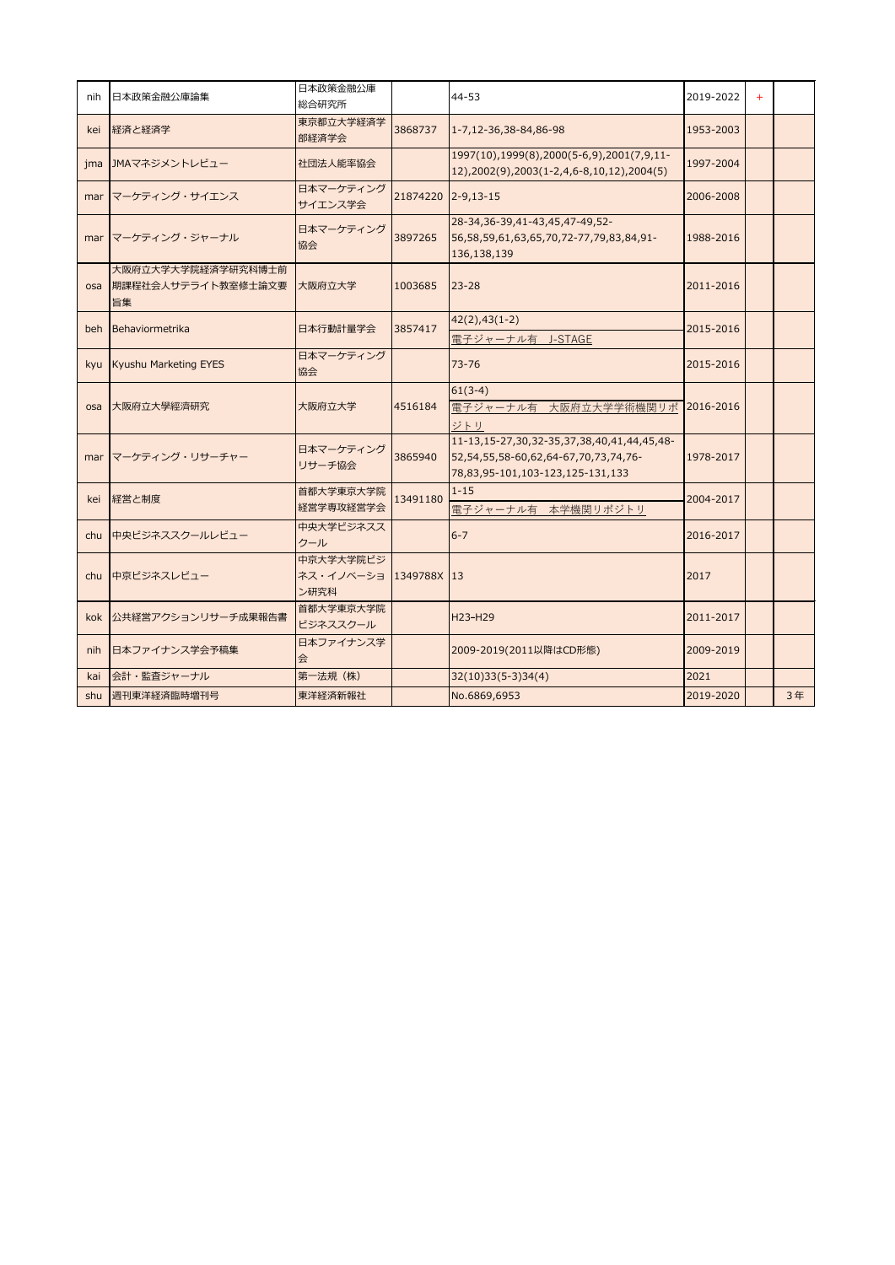| nih | 日本政策金融公庫論集                                      | 日本政策金融公庫<br>総合研究所                            |                    | $44 - 53$                                                                                                                        | 2019-2022 | $+$ |    |
|-----|-------------------------------------------------|----------------------------------------------|--------------------|----------------------------------------------------------------------------------------------------------------------------------|-----------|-----|----|
| kei | 経済と経済学                                          | 東京都立大学経済学<br>部経済学会                           | 3868737            | 1-7,12-36,38-84,86-98                                                                                                            | 1953-2003 |     |    |
| jma | JMAマネジメントレビュー                                   | 社団法人能率協会                                     |                    | 1997(10), 1999(8), 2000(5-6, 9), 2001(7, 9, 11-<br>12),2002(9),2003(1-2,4,6-8,10,12),2004(5)                                     | 1997-2004 |     |    |
| mar | マーケティング・サイエンス                                   | 日本マーケティング<br>サイエンス学会                         | 21874220 2-9,13-15 |                                                                                                                                  | 2006-2008 |     |    |
|     | mar マーケティング・ジャーナル                               | 日本マーケティング<br>協会                              | 3897265            | 28-34, 36-39, 41-43, 45, 47-49, 52-<br>56, 58, 59, 61, 63, 65, 70, 72-77, 79, 83, 84, 91-<br>136,138,139                         | 1988-2016 |     |    |
| osa | 大阪府立大学大学院経済学研究科博士前<br> 期課程社会人サテライト教室修士論文要<br>旨集 | 大阪府立大学                                       | 1003685            | $23 - 28$                                                                                                                        | 2011-2016 |     |    |
| beh | Behaviormetrika                                 | 日本行動計量学会                                     | 3857417            | $42(2), 43(1-2)$<br>電子ジャーナル有 J-STAGE                                                                                             | 2015-2016 |     |    |
| kyu | Kyushu Marketing EYES                           | 日本マーケティング<br>協会                              |                    | $73 - 76$                                                                                                                        | 2015-2016 |     |    |
| osa | 大阪府立大學經濟研究                                      | 大阪府立大学                                       | 4516184            | $61(3-4)$<br> 電子ジャーナル有 大阪府立大学学術機関リポ<br>ジトリ                                                                                       | 2016-2016 |     |    |
|     | mar マーケティング・リサーチャー                              | 日本マーケティング<br>リサーチ協会                          | 3865940            | 11-13, 15-27, 30, 32-35, 37, 38, 40, 41, 44, 45, 48-<br>52,54,55,58-60,62,64-67,70,73,74,76-<br>78,83,95-101,103-123,125-131,133 | 1978-2017 |     |    |
| kei | 経営と制度                                           | 首都大学東京大学院<br>経営学専攻経営学会                       | 13491180           | $1 - 15$<br> 電子ジャーナル有 本学機関リポジトリ                                                                                                  | 2004-2017 |     |    |
| chu | 中央ビジネススクールレビュー                                  | 中央大学ビジネスス<br>クール                             |                    | $6 - 7$                                                                                                                          | 2016-2017 |     |    |
| chu | 中京ビジネスレビュー                                      | 中京大学大学院ビジ<br>ネス・イノベーショ  1349788X  13<br>ン研究科 |                    |                                                                                                                                  | 2017      |     |    |
|     | kok  公共経営アクションリサーチ成果報告書                         | 首都大学東京大学院<br>ビジネススクール                        |                    | H23-H29                                                                                                                          | 2011-2017 |     |    |
| nih | 日本ファイナンス学会予稿集                                   | 日本ファイナンス学<br>会                               |                    | 2009-2019(2011以降はCD形態)                                                                                                           | 2009-2019 |     |    |
| kai | 会計・監査ジャーナル                                      | 第一法規 (株)                                     |                    | $32(10)33(5-3)34(4)$                                                                                                             | 2021      |     |    |
| shu | 週刊東洋経済臨時増刊号                                     | 東洋経済新報社                                      |                    | No.6869,6953                                                                                                                     | 2019-2020 |     | 3年 |